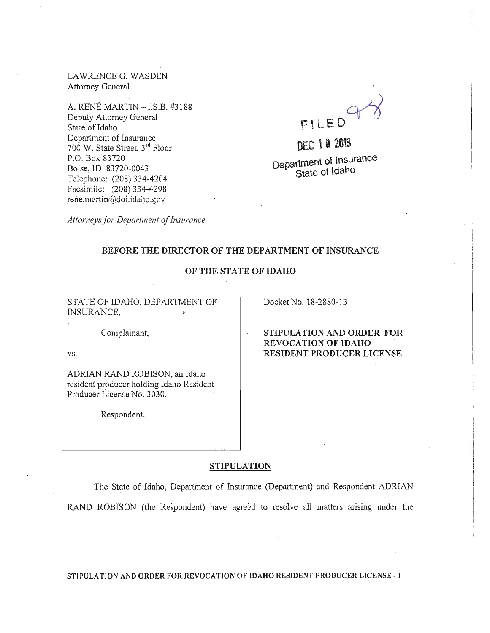LA WRENCE G. WASDEN Attorney General

A. RENE MARTIN - l.S.B. #3188 Deputy Attorney General State of Idaho Department of Insurance 700 W. State Street, 3rd Floor P.O. Box 83720 Boise, JD 83720-0043 Telephone: (208) 334-4204 Facsimile: (208) 334-4298 rene.martin@doi.idaho.gov

 $748$ FILED

DEC 10 2013. Department of Insurance State of idaho

*Attorneys/or Department of insurance* 

#### BEFORE THE DIRECTOR OF THE DEPARTMENT OF INSURANCE

## OF THE STATE OF IDAHO

STATE OF IDAHO, DEPARTMENT OF INSURANCE,

Docket No. 18-2880-13

Complainant,

VS.

ADRIAN RAND ROBISON, an Idaho resident producer holding Idaho Resident Producer License No. 3030,

Respondent.

STIPULATION AND ORDER FOR REVOCATION OF IDAHO RESIDENT PRODUCER LICENSE

#### . STIPULATION

The State of Idaho, Department of Insurance (Department) and Respondent ADRIAN RAND ROBISON (the Respondent) have agreed to resolve all matters arising under the

STIPULATION AND ORDER FOR REVOCATION OF IDAHO RESIDENT PRODUCER LICENSE - 1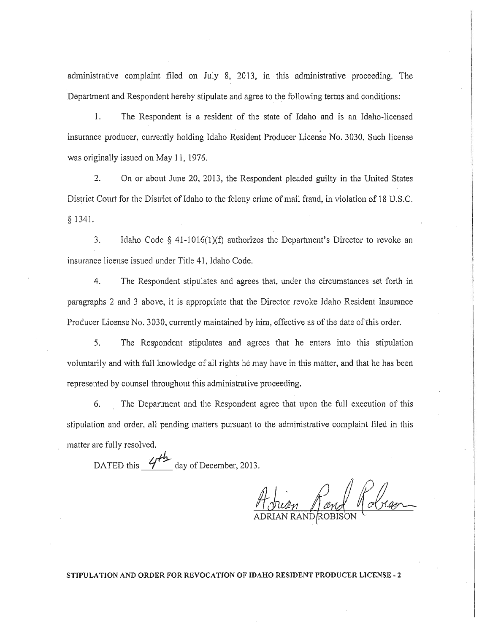administrative complaint filed on July 8, 2013, in this administrative proceeding. The Department and Respondent hereby stipulate and agree to the following terms and conditions:

1. The Respondent is a resident of the state of Idaho and is an Idaho-licensed . insurance producer, currently holding Idaho Resident Producer License No. 3030. Such license was originally issued on May 11, 1976.

2. On or about June 20, 2013, the Respondent pleaded guilty in the United States District Court for the District of Idaho to the felony crime of mail fraud, in violation of 18 U.S.C. § 1341.

3. Idaho Code § 41-1016(1)(1) authorizes the Department's Director to revoke an insurance license issued under Title 41, Idaho Code.

4. The Respondent stipulates and agrees that, under the circumstances set forth in paragraphs 2 and 3 above, it is appropriate that the Director revoke Idaho Resident Insurance Producer License No. 3030, currently maintained by him, effective as of the date of this order.

5. The Respondent stipulates and agrees that he enters into this stipulation voluntarily and with thll knowledge of all rights he may have in this matter, and that he has been represented by counsel throughout this administrative proceeding.

6. The Department and the Respondent agree that upon the full execution of this stipulation and order, all pending matters pursuant to the administrative complaint filed in this matter are fully resolved.

DATED this  $\frac{44}{1}$  day of December, 2013.

Abrian Rand Robean

**STIPULATION AND ORDER FOR REVOCATION OF IDAHO RESIDENT PRODUCER LICENSE - 2**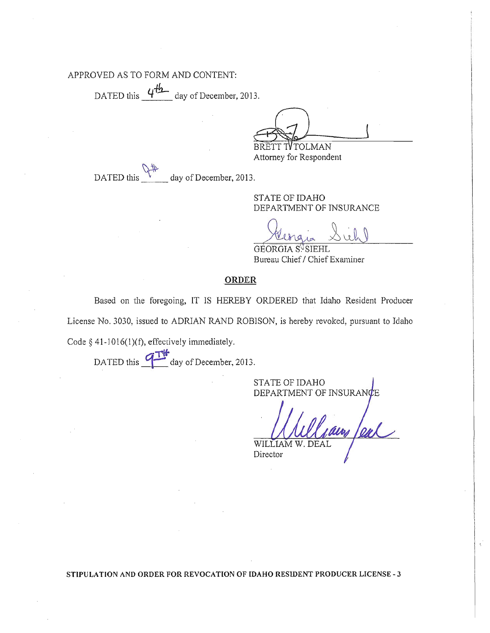## APPROVED AS TO FORM AND CONTENT:

DATED this  $4\frac{44}{2}$  day of December, 2013.

BRETT TV TOLMAN

Attorney for Respondent

DATED this day of December, 2013.

> STATE OF IDAHO DEPARTMENT OF INSURANCE

GEORGIA S<sup>V</sup>SIEHL Bureau Chief / Chief Examiner

# ORDER

Based on the foregoing, IT IS HEREBY ORDERED that Idaho Resident Producer License No. 3030, issued to ADRIAN RAND ROBISON, is hereby revoked, pursuant to Idaho

Code  $§$  41-1016(1)(f), effectively immediately.

DATED this  $\frac{1}{\sqrt{1}}$  day of December, 2013.

STATE OF IDAHO DEPARTMENT OF INSURANCE

un leal WILLIAM

 $\sim$ 

Director

STIPULATION AND ORDER FOR REVOCATION OF IDAHO RESIDENT PRODUCER LICENSE - 3